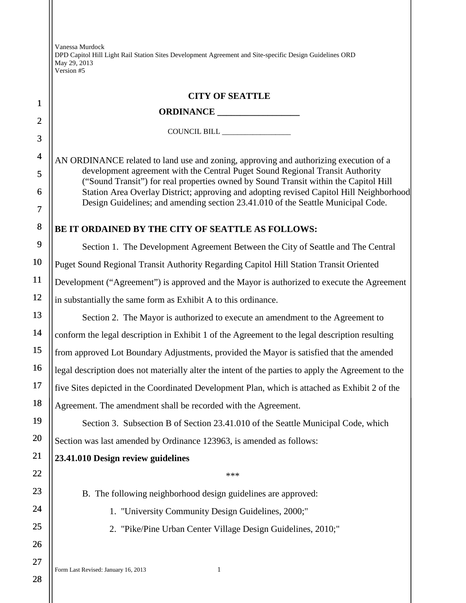Vanessa Murdock DPD Capitol Hill Light Rail Station Sites Development Agreement and Site-specific Design Guidelines ORD May 29, 2013 Version #5

## **CITY OF SEATTLE**

## **ORDINANCE \_\_\_\_\_\_\_\_\_\_\_\_\_\_\_\_\_\_**

COUNCIL BILL \_\_\_\_\_\_\_\_\_\_\_\_\_\_\_\_\_\_

AN ORDINANCE related to land use and zoning, approving and authorizing execution of a development agreement with the Central Puget Sound Regional Transit Authority ("Sound Transit") for real properties owned by Sound Transit within the Capitol Hill Station Area Overlay District; approving and adopting revised Capitol Hill Neighborhood Design Guidelines; and amending section 23.41.010 of the Seattle Municipal Code.

## **BE IT ORDAINED BY THE CITY OF SEATTLE AS FOLLOWS:**

Section 1. The Development Agreement Between the City of Seattle and The Central Puget Sound Regional Transit Authority Regarding Capitol Hill Station Transit Oriented Development ("Agreement") is approved and the Mayor is authorized to execute the Agreement in substantially the same form as Exhibit A to this ordinance.

Section 2. The Mayor is authorized to execute an amendment to the Agreement to conform the legal description in Exhibit 1 of the Agreement to the legal description resulting from approved Lot Boundary Adjustments, provided the Mayor is satisfied that the amended legal description does not materially alter the intent of the parties to apply the Agreement to the five Sites depicted in the Coordinated Development Plan, which is attached as Exhibit 2 of the Agreement. The amendment shall be recorded with the Agreement.

Section 3. Subsection B of Section 23.41.010 of the Seattle Municipal Code, which Section was last amended by Ordinance 123963, is amended as follows:

## **23.41.010 Design review guidelines**

\*\*\*

B. The following neighborhood design guidelines are approved:

1. "University Community Design Guidelines, 2000;"

2. "Pike/Pine Urban Center Village Design Guidelines, 2010;"

1

2

3

4

5

6

7

8

9

10

11

12

13

14

15

16

17

18

19

20

21

22

23

24

25

26

27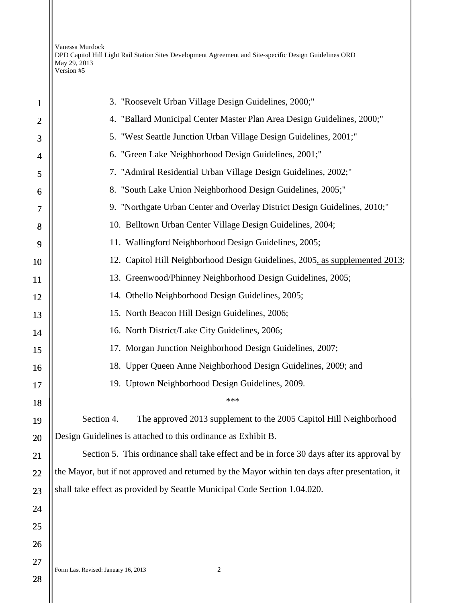Vanessa Murdock DPD Capitol Hill Light Rail Station Sites Development Agreement and Site-specific Design Guidelines ORD May 29, 2013 Version #5

| 1              | 3. "Roosevelt Urban Village Design Guidelines, 2000;"                                           |
|----------------|-------------------------------------------------------------------------------------------------|
| $\overline{2}$ | 4. "Ballard Municipal Center Master Plan Area Design Guidelines, 2000;"                         |
| 3              | 5. "West Seattle Junction Urban Village Design Guidelines, 2001;"                               |
| $\overline{4}$ | 6. "Green Lake Neighborhood Design Guidelines, 2001;"                                           |
| 5              | 7. "Admiral Residential Urban Village Design Guidelines, 2002;"                                 |
| 6              | 8. "South Lake Union Neighborhood Design Guidelines, 2005;"                                     |
| $\overline{7}$ | 9. "Northgate Urban Center and Overlay District Design Guidelines, 2010;"                       |
| 8              | 10. Belltown Urban Center Village Design Guidelines, 2004;                                      |
| 9              | 11. Wallingford Neighborhood Design Guidelines, 2005;                                           |
| 10             | 12. Capitol Hill Neighborhood Design Guidelines, 2005, as supplemented 2013;                    |
| 11             | 13. Greenwood/Phinney Neighborhood Design Guidelines, 2005;                                     |
| 12             | 14. Othello Neighborhood Design Guidelines, 2005;                                               |
| 13             | 15. North Beacon Hill Design Guidelines, 2006;                                                  |
| 14             | 16. North District/Lake City Guidelines, 2006;                                                  |
| 15             | 17. Morgan Junction Neighborhood Design Guidelines, 2007;                                       |
| 16             | 18. Upper Queen Anne Neighborhood Design Guidelines, 2009; and                                  |
| 17             | 19. Uptown Neighborhood Design Guidelines, 2009.                                                |
| 18             | ***                                                                                             |
| 19             | Section 4.<br>The approved 2013 supplement to the 2005 Capitol Hill Neighborhood                |
| 20             | Design Guidelines is attached to this ordinance as Exhibit B.                                   |
| 21             | Section 5. This ordinance shall take effect and be in force 30 days after its approval by       |
| 22             | the Mayor, but if not approved and returned by the Mayor within ten days after presentation, it |
| 23             | shall take effect as provided by Seattle Municipal Code Section 1.04.020.                       |
| 24             |                                                                                                 |
| 25             |                                                                                                 |
| 26             |                                                                                                 |
| 27             |                                                                                                 |
| 28             | $\sqrt{2}$<br>Form Last Revised: January 16, 2013                                               |